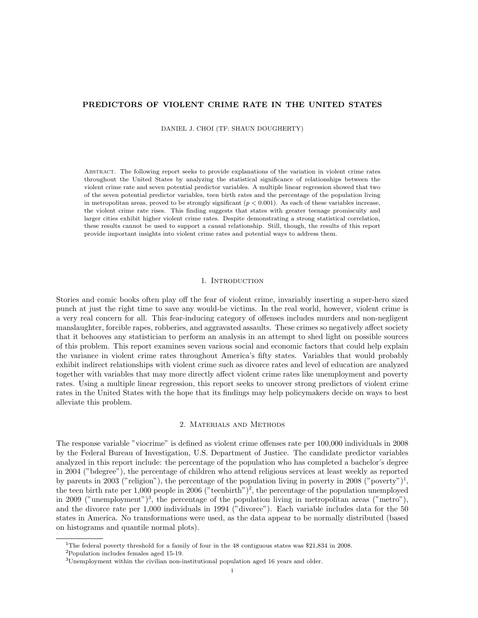# PREDICTORS OF VIOLENT CRIME RATE IN THE UNITED STATES

DANIEL J. CHOI (TF: SHAUN DOUGHERTY)

Abstract. The following report seeks to provide explanations of the variation in violent crime rates throughout the United States by analyzing the statistical significance of relationships between the violent crime rate and seven potential predictor variables. A multiple linear regression showed that two of the seven potential predictor variables, teen birth rates and the percentage of the population living in metropolitan areas, proved to be strongly significant  $(p < 0.001)$ . As each of these variables increase, the violent crime rate rises. This finding suggests that states with greater teenage promiscuity and larger cities exhibit higher violent crime rates. Despite demonstrating a strong statistical correlation, these results cannot be used to support a causal relationship. Still, though, the results of this report provide important insights into violent crime rates and potential ways to address them.

# 1. INTRODUCTION

Stories and comic books often play off the fear of violent crime, invariably inserting a super-hero sized punch at just the right time to save any would-be victims. In the real world, however, violent crime is a very real concern for all. This fear-inducing category of offenses includes murders and non-negligent manslaughter, forcible rapes, robberies, and aggravated assaults. These crimes so negatively affect society that it behooves any statistician to perform an analysis in an attempt to shed light on possible sources of this problem. This report examines seven various social and economic factors that could help explain the variance in violent crime rates throughout America's fifty states. Variables that would probably exhibit indirect relationships with violent crime such as divorce rates and level of education are analyzed together with variables that may more directly affect violent crime rates like unemployment and poverty rates. Using a multiple linear regression, this report seeks to uncover strong predictors of violent crime rates in the United States with the hope that its findings may help policymakers decide on ways to best alleviate this problem.

# 2. Materials and Methods

The response variable "viocrime" is defined as violent crime offenses rate per 100,000 individuals in 2008 by the Federal Bureau of Investigation, U.S. Department of Justice. The candidate predictor variables analyzed in this report include: the percentage of the population who has completed a bachelor's degree in 2004 ("bdegree"), the percentage of children who attend religious services at least weekly as reported by parents in 2003 ("religion"), the percentage of the population living in poverty in 2008 ("poverty")<sup>1</sup>, the teen birth rate per 1,000 people in 2006 ("teenbirth")<sup>2</sup>, the percentage of the population unemployed in 2009 ("unemployment")<sup>3</sup>, the percentage of the population living in metropolitan areas ("metro"), and the divorce rate per 1,000 individuals in 1994 ("divorce"). Each variable includes data for the 50 states in America. No transformations were used, as the data appear to be normally distributed (based on histograms and quantile normal plots).

<sup>&</sup>lt;sup>1</sup>The federal poverty threshold for a family of four in the 48 contiguous states was \$21,834 in 2008.

<sup>2</sup>Population includes females aged 15-19.

<sup>3</sup>Unemployment within the civilian non-institutional population aged 16 years and older.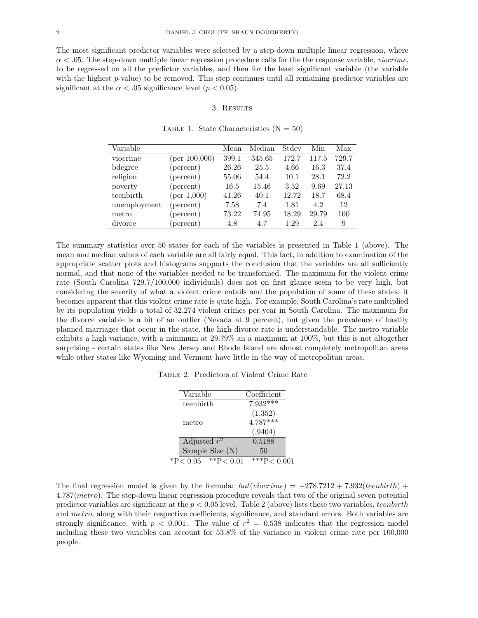The most significant predictor variables were selected by a step-down multiple linear regression, where  $\alpha$  < .05. The step-down multiple linear regression procedure calls for the the response variable, *viocrime*, to be regressed on all the predictor variables, and then for the least significant variable (the variable with the highest p-value) to be removed. This step continues until all remaining predictor variables are significant at the  $\alpha < .05$  significance level ( $p < 0.05$ ).

### 3. Results

| Variable     |               | Mean  | Median | Stdev | Min   | Max   |
|--------------|---------------|-------|--------|-------|-------|-------|
| viocrime     | (per 100,000) | 399.1 | 345.65 | 172.7 | 117.5 | 729.7 |
| bdegree      | (percent)     | 26.26 | 25.5   | 4.66  | 16.3  | 37.4  |
| religion     | (percent)     | 55.06 | 54.4   | 10.1  | 28.1  | 72.2  |
| poverty      | (percent)     | 16.5  | 15.46  | 3.52  | 9.69  | 27.13 |
| teenbirth    | (per 1,000)   | 41.26 | 40.1   | 12.72 | 18.7  | 68.4  |
| unemployment | (percent)     | 7.58  | 7.4    | 1.81  | 4.2   | 12    |
| metro        | (percent)     | 73.22 | 74.95  | 18.29 | 29.79 | 100   |
| divorce      | (percent)     | 4.8   | 4.7    | 1.29  | 2.4   | 9     |

TABLE 1. State Characteristics  $(N = 50)$ 

The summary statistics over 50 states for each of the variables is presented in Table 1 (above). The mean and median values of each variable are all fairly equal. This fact, in addition to examination of the appropriate scatter plots and histograms supports the conclusion that the variables are all sufficiently normal, and that none of the variables needed to be transformed. The maximum for the violent crime rate (South Carolina 729.7/100,000 individuals) does not on first glance seem to be very high, but considering the severity of what a violent crime entails and the population of some of these states, it becomes apparent that this violent crime rate is quite high. For example, South Carolina's rate multiplied by its population yields a total of 32,274 violent crimes per year in South Carolina. The maximum for the divorce variable is a bit of an outlier (Nevada at 9 percent), but given the prevalence of hastily planned marriages that occur in the state, the high divorce rate is understandable. The metro variable exhibits a high variance, with a minimum at 29.79% an a maximum at 100%, but this is not altogether surprising - certain states like New Jersey and Rhode Island are almost completely metropolitan areas while other states like Wyoming and Vermont have little in the way of metropolitan areas.

Table 2. Predictors of Violent Crime Rate

| Variable                     | Coefficient         |
|------------------------------|---------------------|
|                              |                     |
| teenbirth                    | $7.932***$          |
|                              | (1.352)             |
| metro                        | $4.787***$          |
|                              | (.9404)             |
| Adjusted $r^2$               | 0.5188              |
| Sample Size $(N)$            | 50                  |
| $^*P< 0.05$<br>** $P < 0.01$ | $\sqrt{***}P<0.001$ |

The final regression model is given by the formula:  $hat(vic crime) = -278.7212 + 7.932(teen birth) +$ 4.787(metro). The step-down linear regression procedure reveals that two of the original seven potential predictor variables are significant at the  $p < 0.05$  level. Table 2 (above) lists these two variables, teenbirth and metro, along with their respective coefficients, significance, and standard errors. Both variables are strongly significance, with  $p < 0.001$ . The value of  $r^2 = 0.538$  indicates that the regression model including these two variables can account for 53.8% of the variance in violent crime rate per 100,000 people.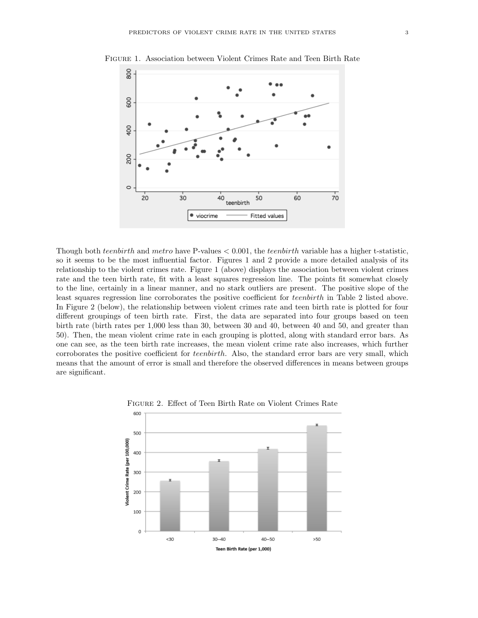

Figure 1. Association between Violent Crimes Rate and Teen Birth Rate

Though both teenbirth and metro have P-values  $< 0.001$ , the teenbirth variable has a higher t-statistic, so it seems to be the most influential factor. Figures 1 and 2 provide a more detailed analysis of its relationship to the violent crimes rate. Figure 1 (above) displays the association between violent crimes rate and the teen birth rate, fit with a least squares regression line. The points fit somewhat closely to the line, certainly in a linear manner, and no stark outliers are present. The positive slope of the least squares regression line corroborates the positive coefficient for teenbirth in Table 2 listed above. In Figure 2 (below), the relationship between violent crimes rate and teen birth rate is plotted for four different groupings of teen birth rate. First, the data are separated into four groups based on teen birth rate (birth rates per 1,000 less than 30, between 30 and 40, between 40 and 50, and greater than 50). Then, the mean violent crime rate in each grouping is plotted, along with standard error bars. As one can see, as the teen birth rate increases, the mean violent crime rate also increases, which further corroborates the positive coefficient for teenbirth. Also, the standard error bars are very small, which means that the amount of error is small and therefore the observed differences in means between groups are significant.



Figure 2. Effect of Teen Birth Rate on Violent Crimes Rate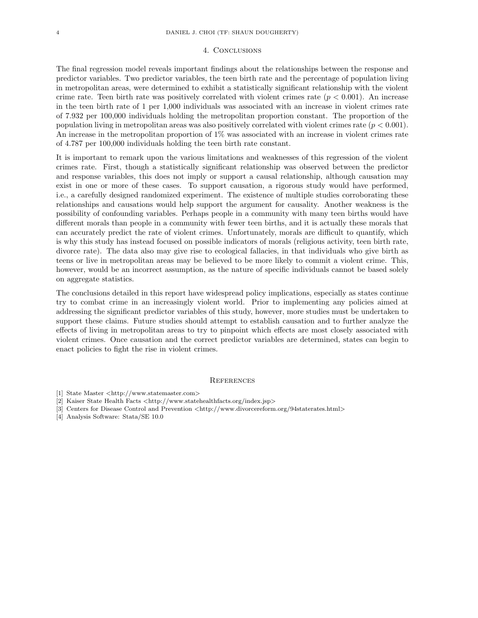#### 4. Conclusions

The final regression model reveals important findings about the relationships between the response and predictor variables. Two predictor variables, the teen birth rate and the percentage of population living in metropolitan areas, were determined to exhibit a statistically significant relationship with the violent crime rate. Teen birth rate was positively correlated with violent crimes rate  $(p < 0.001)$ . An increase in the teen birth rate of 1 per 1,000 individuals was associated with an increase in violent crimes rate of 7.932 per 100,000 individuals holding the metropolitan proportion constant. The proportion of the population living in metropolitan areas was also positively correlated with violent crimes rate  $(p < 0.001)$ . An increase in the metropolitan proportion of 1% was associated with an increase in violent crimes rate of 4.787 per 100,000 individuals holding the teen birth rate constant.

It is important to remark upon the various limitations and weaknesses of this regression of the violent crimes rate. First, though a statistically significant relationship was observed between the predictor and response variables, this does not imply or support a causal relationship, although causation may exist in one or more of these cases. To support causation, a rigorous study would have performed, i.e., a carefully designed randomized experiment. The existence of multiple studies corroborating these relationships and causations would help support the argument for causality. Another weakness is the possibility of confounding variables. Perhaps people in a community with many teen births would have different morals than people in a community with fewer teen births, and it is actually these morals that can accurately predict the rate of violent crimes. Unfortunately, morals are difficult to quantify, which is why this study has instead focused on possible indicators of morals (religious activity, teen birth rate, divorce rate). The data also may give rise to ecological fallacies, in that individuals who give birth as teens or live in metropolitan areas may be believed to be more likely to commit a violent crime. This, however, would be an incorrect assumption, as the nature of specific individuals cannot be based solely on aggregate statistics.

The conclusions detailed in this report have widespread policy implications, especially as states continue try to combat crime in an increasingly violent world. Prior to implementing any policies aimed at addressing the significant predictor variables of this study, however, more studies must be undertaken to support these claims. Future studies should attempt to establish causation and to further analyze the effects of living in metropolitan areas to try to pinpoint which effects are most closely associated with violent crimes. Once causation and the correct predictor variables are determined, states can begin to enact policies to fight the rise in violent crimes.

#### **REFERENCES**

- [1] State Master <http://www.statemaster.com>
- [2] Kaiser State Health Facts <http://www.statehealthfacts.org/index.jsp>
- [3] Centers for Disease Control and Prevention <http://www.divorcereform.org/94staterates.html>
- [4] Analysis Software: Stata/SE 10.0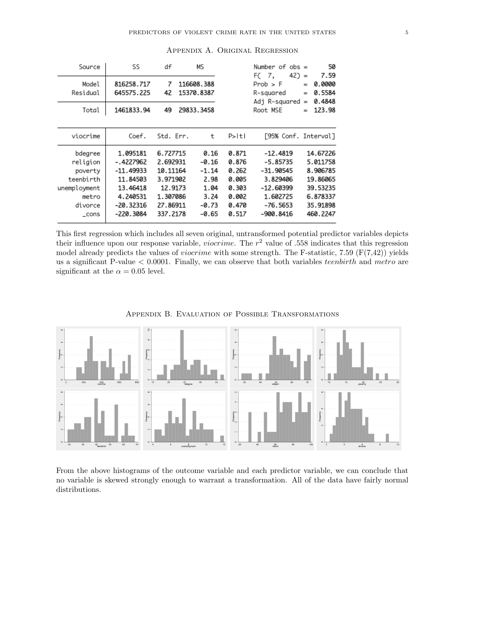| Source                                                                                  | SS                                                                                                   | df                                                                                          | MS                                                                     |                                                                      | Number of $obs =$<br>$42) =$<br>FC.<br>7,                                                                 |                   | 50<br>7.59                                                                                   |
|-----------------------------------------------------------------------------------------|------------------------------------------------------------------------------------------------------|---------------------------------------------------------------------------------------------|------------------------------------------------------------------------|----------------------------------------------------------------------|-----------------------------------------------------------------------------------------------------------|-------------------|----------------------------------------------------------------------------------------------|
| Model<br>Residual                                                                       | 816258.717<br>645575.225                                                                             | 7<br>42                                                                                     | 116608.388<br>15370.8387                                               |                                                                      | $Prob$ > $F$<br>R-squared<br>Adj R-squared                                                                | $=$<br>$=$<br>$=$ | 0.0000<br>0.5584<br>0.4848                                                                   |
| Total                                                                                   | 1461833.94                                                                                           | 49                                                                                          | 29833.3458                                                             |                                                                      | Root MSE                                                                                                  | $=$               | 123.98                                                                                       |
| viocrime                                                                                | Coef.                                                                                                | Std. Err.                                                                                   | t                                                                      | P>ItI                                                                | [95% Conf. Interval]                                                                                      |                   |                                                                                              |
| bdegree<br>religion<br>poverty<br>teenbirth<br>unemployment<br>metro<br>divorce<br>cons | 1.095181<br>-.4227962<br>-11.49933<br>11.84503<br>13.46418<br>4.240531<br>$-20.32316$<br>$-220.3084$ | 6.727715<br>2.692931<br>10.11164<br>3.971902<br>12.9173<br>1.307086<br>27.86911<br>337.2178 | 0.16<br>-0.16<br>$-1.14$<br>2.98<br>1.04<br>3.24<br>$-0.73$<br>$-0.65$ | 0.871<br>0.876<br>0.262<br>0.005<br>0.303<br>0.002<br>0.470<br>0.517 | $-12.4819$<br>$-5.85735$<br>-31.90545<br>3.829406<br>$-12.60399$<br>1.602725<br>$-76.5653$<br>$-900.8416$ |                   | 14.67226<br>5.011758<br>8.906785<br>19.86065<br>39.53235<br>6.878337<br>35.91898<br>460.2247 |

Appendix A. Original Regression

This first regression which includes all seven original, untransformed potential predictor variables depicts their influence upon our response variable, *viocrime*. The  $r^2$  value of .558 indicates that this regression model already predicts the values of *viocrime* with some strength. The F-statistic, 7.59 ( $F(7,42)$ ) yields us a significant P-value  $\leq 0.0001$ . Finally, we can observe that both variables *teenbirth* and *metro* are significant at the  $\alpha = 0.05$  level.



Appendix B. Evaluation of Possible Transformations

From the above histograms of the outcome variable and each predictor variable, we can conclude that no variable is skewed strongly enough to warrant a transformation. All of the data have fairly normal distributions.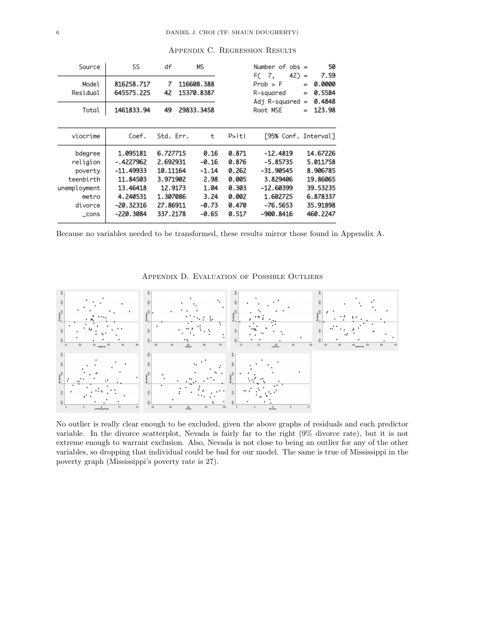| Source                                                                                   | SS                                                                                                 | df                                                                                          | МS                                                                       |                                                                      | Number of $obs =$<br>$42$ ) =<br>F(7,                                                                 |                   | 50<br>7.59                                                                                   |
|------------------------------------------------------------------------------------------|----------------------------------------------------------------------------------------------------|---------------------------------------------------------------------------------------------|--------------------------------------------------------------------------|----------------------------------------------------------------------|-------------------------------------------------------------------------------------------------------|-------------------|----------------------------------------------------------------------------------------------|
| Model<br>Residual                                                                        | 816258.717<br>645575.225                                                                           | 7<br>42                                                                                     | 116608.388<br>15370.8387                                                 |                                                                      | $Prob$ > $F$<br>R-sauared<br>Adj R-squared                                                            | $=$<br>$=$<br>$=$ | 0.0000<br>0.5584<br>0.4848                                                                   |
| Total                                                                                    | 1461833.94                                                                                         | 49                                                                                          | 29833.3458                                                               |                                                                      | Root MSE                                                                                              | $=$               | 123.98                                                                                       |
|                                                                                          |                                                                                                    |                                                                                             |                                                                          |                                                                      |                                                                                                       |                   |                                                                                              |
| viocrime                                                                                 | Coef.                                                                                              | Std. Err.                                                                                   | t                                                                        | P>ItI                                                                | [95% Conf. Interval]                                                                                  |                   |                                                                                              |
| bdegree<br>religion<br>poverty<br>teenbirth<br>unemployment<br>metro<br>divorce<br>_cons | 1.095181<br>-.4227962<br>-11.49933<br>11.84503<br>13.46418<br>4.240531<br>$-20.32316$<br>-220.3084 | 6.727715<br>2.692931<br>10.11164<br>3.971902<br>12.9173<br>1.307086<br>27.86911<br>337.2178 | 0.16<br>$-0.16$<br>$-1.14$<br>2.98<br>1.04<br>3.24<br>$-0.73$<br>$-0.65$ | 0.871<br>0.876<br>0.262<br>0.005<br>0.303<br>0.002<br>0.470<br>0.517 | $-12.4819$<br>$-5.85735$<br>-31.90545<br>3.829406<br>-12.60399<br>1.602725<br>$-76.5653$<br>-900.8416 |                   | 14.67226<br>5.011758<br>8.906785<br>19.86065<br>39.53235<br>6.878337<br>35.91898<br>460.2247 |

Appendix C. Regression Results

Because no variables needed to be transformed, these results mirror those found in Appendix A.

Appendix D. Evaluation of Possible Outliers



No outlier is really clear enough to be excluded, given the above graphs of residuals and each predictor variable. In the divorce scatterplot, Nevada is fairly far to the right (9% divorce rate), but it is not extreme enough to warrant exclusion. Also, Nevada is not close to being an outlier for any of the other variables, so dropping that individual could be bad for our model. The same is true of Mississippi in the poverty graph (Mississippi's poverty rate is 27).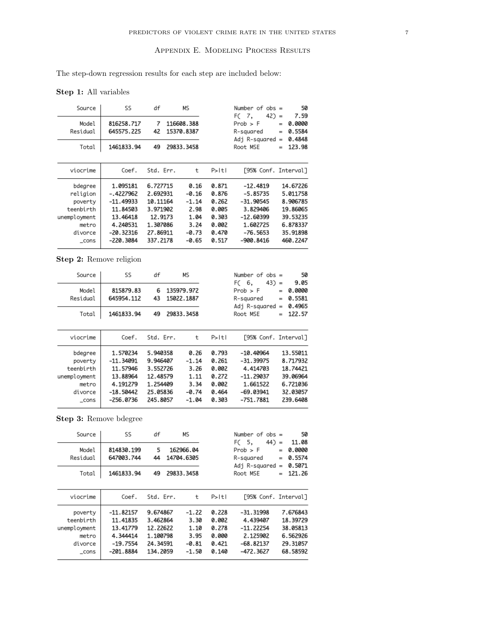The step-down regression results for each step are included below:

Step 1: All variables

| Source                                                                                   | SS                                                                                                     | df                                                                                          | Mς                                                                       |                                                                      | Number of $obs =$<br>$42$ ) =<br>FC 7.                                                                    | 50<br>7.59                                                                                   |
|------------------------------------------------------------------------------------------|--------------------------------------------------------------------------------------------------------|---------------------------------------------------------------------------------------------|--------------------------------------------------------------------------|----------------------------------------------------------------------|-----------------------------------------------------------------------------------------------------------|----------------------------------------------------------------------------------------------|
| Model<br>Residual                                                                        | 816258.717<br>645575.225                                                                               | 7<br>42                                                                                     | 116608.388<br>15370.8387                                                 |                                                                      | $Prob$ > $F$<br>R-sauared<br>Adj R-squared                                                                | 0.0000<br>$=$<br>0.5584<br>$=$<br>0.4848<br>$=$                                              |
| Total                                                                                    | 1461833.94                                                                                             | 49                                                                                          | 29833.3458                                                               |                                                                      | Root MSE                                                                                                  | 123.98<br>$=$                                                                                |
|                                                                                          |                                                                                                        |                                                                                             |                                                                          |                                                                      |                                                                                                           |                                                                                              |
| viocrime                                                                                 | Coef.                                                                                                  | Std. Err.                                                                                   | ŧ                                                                        | P>ItI                                                                | [95% Conf. Interval]                                                                                      |                                                                                              |
| bdegree<br>religion<br>poverty<br>teenbirth<br>unemployment<br>metro<br>divorce<br>_cons | 1.095181<br>-.4227962<br>$-11.49933$<br>11.84503<br>13.46418<br>4.240531<br>$-20.32316$<br>$-220.3084$ | 6.727715<br>2.692931<br>10.11164<br>3.971902<br>12.9173<br>1.307086<br>27.86911<br>337.2178 | 0.16<br>$-0.16$<br>$-1.14$<br>2.98<br>1.04<br>3.24<br>$-0.73$<br>$-0.65$ | 0.871<br>0.876<br>0.262<br>0.005<br>0.303<br>0.002<br>0.470<br>0.517 | $-12.4819$<br>$-5.85735$<br>$-31.90545$<br>3.829406<br>-12.60399<br>1.602725<br>$-76.5653$<br>$-900.8416$ | 14.67226<br>5.011758<br>8.906785<br>19.86065<br>39.53235<br>6.878337<br>35.91898<br>460.2247 |

Step 2: Remove religion

| Source                                                                       | SS                                                                                        | df                                                                               | МS                                                          |                                                             | Number of $obs =$<br>$43) =$<br>F( 6,                                                           | 50<br>9.05                                                                       |
|------------------------------------------------------------------------------|-------------------------------------------------------------------------------------------|----------------------------------------------------------------------------------|-------------------------------------------------------------|-------------------------------------------------------------|-------------------------------------------------------------------------------------------------|----------------------------------------------------------------------------------|
| Model<br>Residual                                                            | 815879.83<br>645954.112                                                                   | 6<br>43                                                                          | 135979.972<br>15022.1887                                    |                                                             | $Prob$ > $F$<br>R-squared<br>Adj R-squared                                                      | 0.0000<br>$=$<br>0.5581<br>$=$<br>0.4965<br>$=$                                  |
| Total                                                                        | 1461833.94                                                                                | 49                                                                               | 29833.3458                                                  |                                                             | Root MSE                                                                                        | 122.57<br>$=$                                                                    |
| viocrime                                                                     | Coef.                                                                                     | Std. Err.                                                                        | t                                                           | P>ItI                                                       | [95% Conf. Interval]                                                                            |                                                                                  |
| bdegree<br>poverty<br>teenbirth<br>unemployment<br>metro<br>divorce<br>_cons | 1.570234<br>$-11.34091$<br>11.57946<br>13.88964<br>4.191279<br>$-18.50442$<br>$-256.0736$ | 5.940358<br>9.946407<br>3.552726<br>12.48579<br>1.254409<br>25.05836<br>245.8057 | 0.26<br>$-1.14$<br>3.26<br>1.11<br>3.34<br>-0.74<br>$-1.04$ | 0.793<br>0.261<br>0.002<br>0.272<br>0.002<br>0.464<br>0.303 | $-10.40964$<br>$-31.39975$<br>4.414703<br>$-11.29037$<br>1.661522<br>$-69.03941$<br>$-751.7881$ | 13.55011<br>8.717932<br>18.74421<br>39.06964<br>6.721036<br>32.03057<br>239.6408 |

Step 3: Remove bdegree

| Source<br>Model<br>Residual                                       | SS<br>814830.199<br>647003.744                                               | df<br>5<br>44                                                        | МS<br>162966.04<br>14704.6305                         |                                                    | Number of $obs =$<br>$(44) =$<br>FC.<br>5,<br>$Prob$ > $F$<br>$=$<br>R-squared<br>$=$ |            | 50<br>11.08<br>0.0000<br>0.5574                                      |
|-------------------------------------------------------------------|------------------------------------------------------------------------------|----------------------------------------------------------------------|-------------------------------------------------------|----------------------------------------------------|---------------------------------------------------------------------------------------|------------|----------------------------------------------------------------------|
| Total                                                             | 1461833.94                                                                   | 49                                                                   | 29833.3458                                            | Adj R-squared<br>Root MSE                          |                                                                                       | $=$<br>$=$ | 0.5071<br>121.26                                                     |
| viocrime                                                          | Coef.                                                                        | Std. Err.                                                            | t                                                     | $P>1$ tl                                           | [95% Conf. Interval]                                                                  |            |                                                                      |
| poverty<br>teenbirth<br>unemployment<br>metro<br>divorce<br>_cons | $-11.82157$<br>11.41835<br>13.41779<br>4.344414<br>$-19.7554$<br>$-201.8884$ | 9.674867<br>3.462864<br>12.22622<br>1.100798<br>24.34591<br>134.2059 | $-1.22$<br>3.30<br>1.10<br>3.95<br>$-0.81$<br>$-1.50$ | 0.228<br>0.002<br>0.278<br>0.000<br>0.421<br>0.140 | $-31.31998$<br>4.439407<br>-11.22254<br>2.125902<br>$-68.82137$<br>$-472.3627$        |            | 7.676843<br>18.39729<br>38.05813<br>6.562926<br>29.31057<br>68.58592 |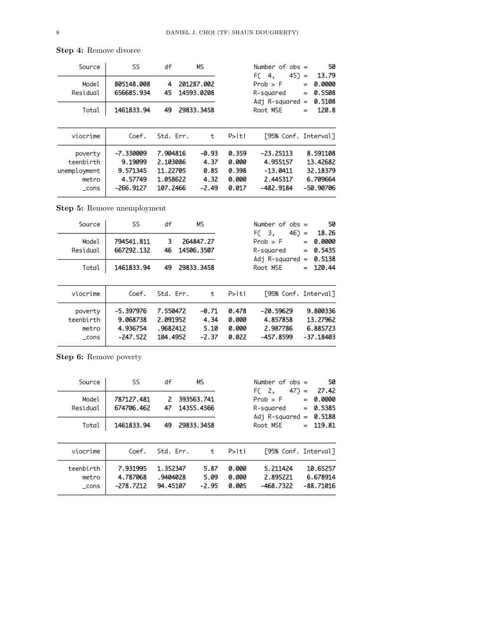| Source                                                 | SS                                                       | df                                                       | МS                                         |                                           | Number of $obs =$<br>$45) =$<br>FC.<br>4.                        | 50<br>13.79       |                                                           |
|--------------------------------------------------------|----------------------------------------------------------|----------------------------------------------------------|--------------------------------------------|-------------------------------------------|------------------------------------------------------------------|-------------------|-----------------------------------------------------------|
| Model<br>Residual                                      | 805148.008<br>656685.934                                 | 4<br>45                                                  | 201287.002<br>14593.0208                   |                                           | $Prob$ > $F$<br>R-sauared<br>Adj R-squared                       | $=$<br>$=$<br>$=$ | 0.0000<br>0.5508<br>0.5108                                |
| Total                                                  | 1461833.94                                               | 49                                                       | 29833.3458                                 |                                           | Root MSE<br>$=$                                                  |                   | 120.8                                                     |
| viocrime                                               | Coef.                                                    | Std. Err.                                                | t                                          | $P>$  t                                   | [95% Conf. Interval]                                             |                   |                                                           |
| poverty<br>teenbirth<br>unemployment<br>metro<br>_cons | -7.330009<br>9.19099<br>9.571345<br>4.57749<br>-266.9127 | 7.904816<br>2.103086<br>11.22705<br>1.058622<br>107.2466 | $-0.93$<br>4.37<br>0.85<br>4.32<br>$-2.49$ | 0.359<br>0.000<br>0.398<br>0.000<br>0.017 | $-23.25113$<br>4.955157<br>$-13.0411$<br>2.445317<br>$-482.9184$ |                   | 8.591108<br>13.42682<br>32.18379<br>6.709664<br>-50.90706 |

Step 4: Remove divorce

Step 5: Remove unemployment

| Source                                | SS                                                | df                                           | МS                                 |                                  | Number of $obs =$<br>$46) =$<br>F( 3,            |                                    | 50<br>18.26                                     |  |                            |
|---------------------------------------|---------------------------------------------------|----------------------------------------------|------------------------------------|----------------------------------|--------------------------------------------------|------------------------------------|-------------------------------------------------|--|----------------------------|
| Model<br>Residual                     | 794541.811<br>667292.132                          | 3<br>46                                      | 264847.27<br>14506.3507            |                                  | $Prob$ > $F$<br>R-sauared                        | $=$<br>$=$<br>Adj R-squared<br>$=$ |                                                 |  | 0.0000<br>0.5435<br>0.5138 |
| Total                                 | 1461833.94                                        | 49                                           | 29833.3458                         |                                  | Root MSE                                         | $=$                                | 120.44                                          |  |                            |
| viocrime                              | Coef.                                             | Std. Frr.                                    | t                                  | $P>1$ tl                         | [95% Conf. Interval]                             |                                    |                                                 |  |                            |
| poverty<br>teenbirth<br>metro<br>cons | $-5.397976$<br>9.068738<br>4.936754<br>$-247.522$ | 7.550472<br>2.091952<br>.9682412<br>104.4952 | $-0.71$<br>4.34<br>5.10<br>$-2.37$ | 0.478<br>0.000<br>0.000<br>0.022 | $-20.59629$<br>4.857858<br>2.987786<br>-457.8599 |                                    | 9.800336<br>13.27962<br>6.885723<br>$-37.18403$ |  |                            |

Step 6: Remove poverty

| Source                      | SS                                  | df                               | МS                       |                         | Number of $obs =$<br>$47 =$<br>FC 2,       | 50<br>27.42                                     |
|-----------------------------|-------------------------------------|----------------------------------|--------------------------|-------------------------|--------------------------------------------|-------------------------------------------------|
| Model<br>Residual           | 787127.481<br>674706.462            | 2<br>47                          | 393563.741<br>14355.4566 |                         | $Prob$ > $F$<br>R-sauared<br>Adj R-squared | 0.0000<br>$=$<br>0.5385<br>$=$<br>0.5188<br>$=$ |
| Total                       | 1461833.94                          | 49                               | 29833.3458               |                         | Root MSE                                   | 119.81<br>$=$                                   |
| viocrime                    | Coef.                               | Std. Err.                        | t                        | $P>1$ tl                | [95% Conf. Interval]                       |                                                 |
| teenbirth<br>metro<br>_cons | 7.931995<br>4.787068<br>$-278.7212$ | 1.352347<br>.9404028<br>94.45107 | 5.87<br>5.09<br>$-2.95$  | 0.000<br>0.000<br>0.005 | 5.211424<br>2.895221<br>$-468.7322$        | 10.65257<br>6.678914<br>$-88.71016$             |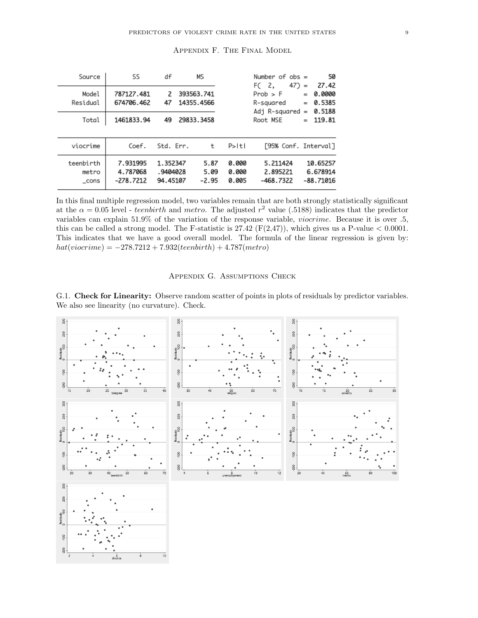| Source                      | SS                                  | df                               | МS                       |                         | Number of $obs =$<br>$47) =$<br>FC <sub>2</sub> |                   |                                     |
|-----------------------------|-------------------------------------|----------------------------------|--------------------------|-------------------------|-------------------------------------------------|-------------------|-------------------------------------|
| Model<br>Residual           | 787127.481<br>674706.462            | 2<br>47                          | 393563.741<br>14355.4566 |                         | Prob > F<br>R-squared<br>Adj R-squared          | $=$<br>$=$<br>$=$ | 27.42<br>0.0000<br>0.5385<br>0.5188 |
| Total                       | 1461833.94                          | 49                               | 29833.3458               |                         | Root MSE                                        | $=$               | 119.81                              |
| viocrime                    | Coef.                               | Std. Err.                        | t                        | $P>1$ tl                | [95% Conf. Interval]                            |                   |                                     |
| teenbirth<br>metro<br>_cons | 7.931995<br>4.787068<br>$-278.7212$ | 1.352347<br>.9404028<br>94.45107 | 5.87<br>5.09<br>$-2.95$  | 0.000<br>0.000<br>0.005 | 5.211424<br>2.895221<br>$-468.7322$             |                   | 10.65257<br>6.678914<br>$-88.71016$ |

# Appendix F. The Final Model

In this final multiple regression model, two variables remain that are both strongly statistically significant at the  $\alpha = 0.05$  level - teenbirth and metro. The adjusted  $r^2$  value (.5188) indicates that the predictor variables can explain 51.9% of the variation of the response variable, viocrime. Because it is over .5, this can be called a strong model. The F-statistic is  $27.42 \text{ (F}(2,47))$ , which gives us a P-value  $< 0.0001$ . This indicates that we have a good overall model. The formula of the linear regression is given by:  $hat(vic crime) = -278.7212 + 7.932(teen birth) + 4.787(metro)$ 

# Appendix G. Assumptions Check

G.1. Check for Linearity: Observe random scatter of points in plots of residuals by predictor variables. We also see linearity (no curvature). Check.